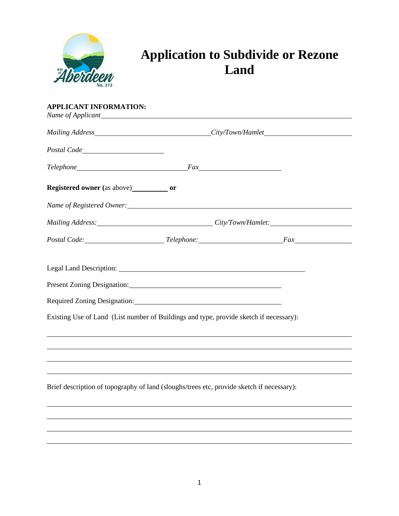

## **Application to Subdivide or Rezone Land**

| <b>APPLICANT INFORMATION:</b>                                                                                                                                                                                                  |  |  |  |
|--------------------------------------------------------------------------------------------------------------------------------------------------------------------------------------------------------------------------------|--|--|--|
|                                                                                                                                                                                                                                |  |  |  |
|                                                                                                                                                                                                                                |  |  |  |
|                                                                                                                                                                                                                                |  |  |  |
|                                                                                                                                                                                                                                |  |  |  |
|                                                                                                                                                                                                                                |  |  |  |
|                                                                                                                                                                                                                                |  |  |  |
| Postal Code: Fax                                                                                                                                                                                                               |  |  |  |
| Present Zoning Designation: Manual Manual Manual Manual Manual Manual Manual Manual Manual Manual Manual Manua                                                                                                                 |  |  |  |
| Required Zoning Designation: Manual Contract Designation Contract Designation Contract Designation Contract Designation Contract Designation Contract Designation Contract Designation Contract Designation Contract Designati |  |  |  |
| Existing Use of Land (List number of Buildings and type, provide sketch if necessary):                                                                                                                                         |  |  |  |
|                                                                                                                                                                                                                                |  |  |  |
|                                                                                                                                                                                                                                |  |  |  |
| Brief description of topography of land (sloughs/trees etc, provide sketch if necessary):                                                                                                                                      |  |  |  |
|                                                                                                                                                                                                                                |  |  |  |
|                                                                                                                                                                                                                                |  |  |  |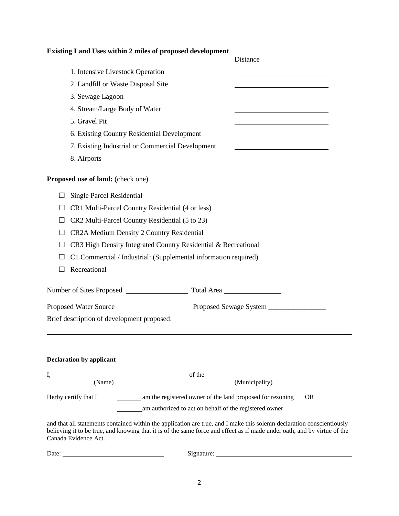## **Existing Land Uses within 2 miles of proposed development**

|                                 |                                                                                                                                                                                                                                                   | Distance                                                                                                             |  |  |
|---------------------------------|---------------------------------------------------------------------------------------------------------------------------------------------------------------------------------------------------------------------------------------------------|----------------------------------------------------------------------------------------------------------------------|--|--|
|                                 | 1. Intensive Livestock Operation                                                                                                                                                                                                                  |                                                                                                                      |  |  |
|                                 | 2. Landfill or Waste Disposal Site                                                                                                                                                                                                                |                                                                                                                      |  |  |
|                                 | 3. Sewage Lagoon                                                                                                                                                                                                                                  |                                                                                                                      |  |  |
|                                 | 4. Stream/Large Body of Water                                                                                                                                                                                                                     | <u> 1989 - Johann Barbara, martin amerikan basar dan basa dan basar dan basar dalam basa dalam basa dan basa dan</u> |  |  |
|                                 | 5. Gravel Pit                                                                                                                                                                                                                                     |                                                                                                                      |  |  |
|                                 | 6. Existing Country Residential Development                                                                                                                                                                                                       |                                                                                                                      |  |  |
|                                 | 7. Existing Industrial or Commercial Development                                                                                                                                                                                                  |                                                                                                                      |  |  |
| 8. Airports                     |                                                                                                                                                                                                                                                   |                                                                                                                      |  |  |
|                                 | Proposed use of land: (check one)                                                                                                                                                                                                                 |                                                                                                                      |  |  |
|                                 | <b>Single Parcel Residential</b>                                                                                                                                                                                                                  |                                                                                                                      |  |  |
| $\Box$                          | CR1 Multi-Parcel Country Residential (4 or less)                                                                                                                                                                                                  |                                                                                                                      |  |  |
|                                 | CR2 Multi-Parcel Country Residential (5 to 23)                                                                                                                                                                                                    |                                                                                                                      |  |  |
|                                 | CR2A Medium Density 2 Country Residential                                                                                                                                                                                                         |                                                                                                                      |  |  |
|                                 | CR3 High Density Integrated Country Residential & Recreational                                                                                                                                                                                    |                                                                                                                      |  |  |
|                                 | C1 Commercial / Industrial: (Supplemental information required)                                                                                                                                                                                   |                                                                                                                      |  |  |
|                                 | Recreational                                                                                                                                                                                                                                      |                                                                                                                      |  |  |
|                                 |                                                                                                                                                                                                                                                   |                                                                                                                      |  |  |
|                                 | Proposed Water Source                                                                                                                                                                                                                             |                                                                                                                      |  |  |
|                                 |                                                                                                                                                                                                                                                   |                                                                                                                      |  |  |
|                                 |                                                                                                                                                                                                                                                   |                                                                                                                      |  |  |
|                                 |                                                                                                                                                                                                                                                   |                                                                                                                      |  |  |
| <b>Declaration by applicant</b> |                                                                                                                                                                                                                                                   |                                                                                                                      |  |  |
|                                 | $I,$ (Name)                                                                                                                                                                                                                                       |                                                                                                                      |  |  |
|                                 | (Municipality)                                                                                                                                                                                                                                    |                                                                                                                      |  |  |
| Herby certify that I            | am the registered owner of the land proposed for rezoning                                                                                                                                                                                         | <b>OR</b>                                                                                                            |  |  |
|                                 | am authorized to act on behalf of the registered owner                                                                                                                                                                                            |                                                                                                                      |  |  |
| Canada Evidence Act.            | and that all statements contained within the application are true, and I make this solemn declaration conscientiously<br>believing it to be true, and knowing that it is of the same force and effect as if made under oath, and by virtue of the |                                                                                                                      |  |  |
| Date:                           | <u> 1980 - Johann Barbara, martin a</u>                                                                                                                                                                                                           |                                                                                                                      |  |  |